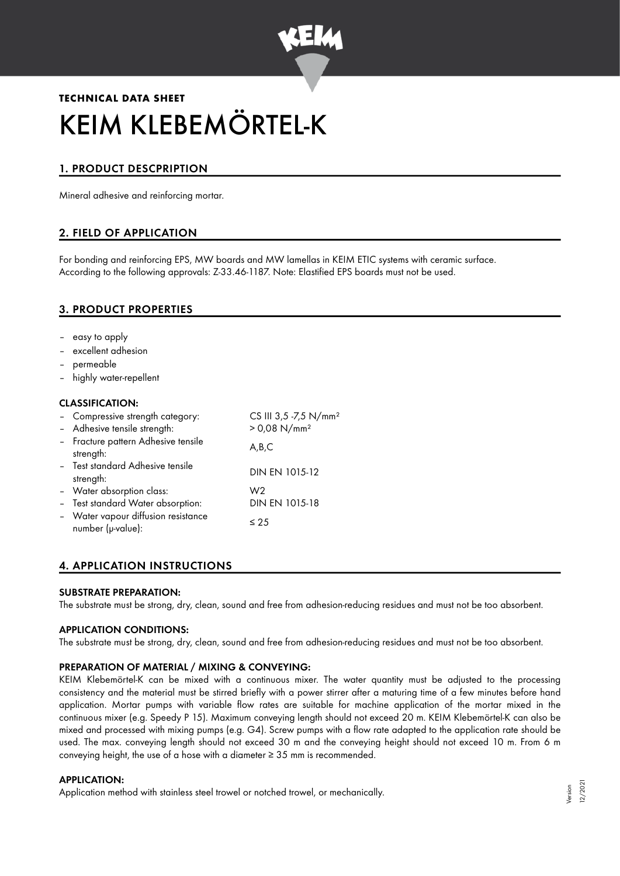

# **TECHNICAL DATA SHEET** KEIM KLEBEMÖRTEL-K

# 1. PRODUCT DESCPRIPTION

Mineral adhesive and reinforcing mortar.

# 2. FIELD OF APPLICATION

For bonding and reinforcing EPS, MW boards and MW lamellas in KEIM ETIC systems with ceramic surface. According to the following approvals: Z-33.46-1187. Note: Elastified EPS boards must not be used.

# 3. PRODUCT PROPERTIES

- easy to apply
- excellent adhesion
- permeable
- highly water-repellent

#### CLASSIFICATION:

| - Compressive strength category:                         | CS III 3,5 -7,5 N/mm <sup>2</sup> |
|----------------------------------------------------------|-----------------------------------|
| - Adhesive tensile strength:                             | $> 0.08$ N/mm <sup>2</sup>        |
| - Fracture pattern Adhesive tensile<br>strength:         | A,B,C                             |
| - Test standard Adhesive tensile<br>strength:            | DIN EN 1015-12                    |
| - Water absorption class:                                | W2                                |
| - Test standard Water absorption:                        | DIN EN 1015-18                    |
| - Water vapour diffusion resistance<br>number (µ-value): | $\leq 25$                         |

# 4. APPLICATION INSTRUCTIONS

#### SUBSTRATE PREPARATION:

The substrate must be strong, dry, clean, sound and free from adhesion-reducing residues and must not be too absorbent.

#### APPLICATION CONDITIONS:

The substrate must be strong, dry, clean, sound and free from adhesion-reducing residues and must not be too absorbent.

#### PREPARATION OF MATERIAL / MIXING & CONVEYING:

KEIM Klebemörtel-K can be mixed with a continuous mixer. The water quantity must be adjusted to the processing consistency and the material must be stirred briefly with a power stirrer after a maturing time of a few minutes before hand application. Mortar pumps with variable flow rates are suitable for machine application of the mortar mixed in the continuous mixer (e.g. Speedy P 15). Maximum conveying length should not exceed 20 m. KEIM Klebemörtel-K can also be mixed and processed with mixing pumps (e.g. G4). Screw pumps with a flow rate adapted to the application rate should be used. The max. conveying length should not exceed 30 m and the conveying height should not exceed 10 m. From 6 m conveying height, the use of a hose with a diameter  $\geq$  35 mm is recommended.

#### APPLICATION:

Application method with stainless steel trowel or notched trowel, or mechanically.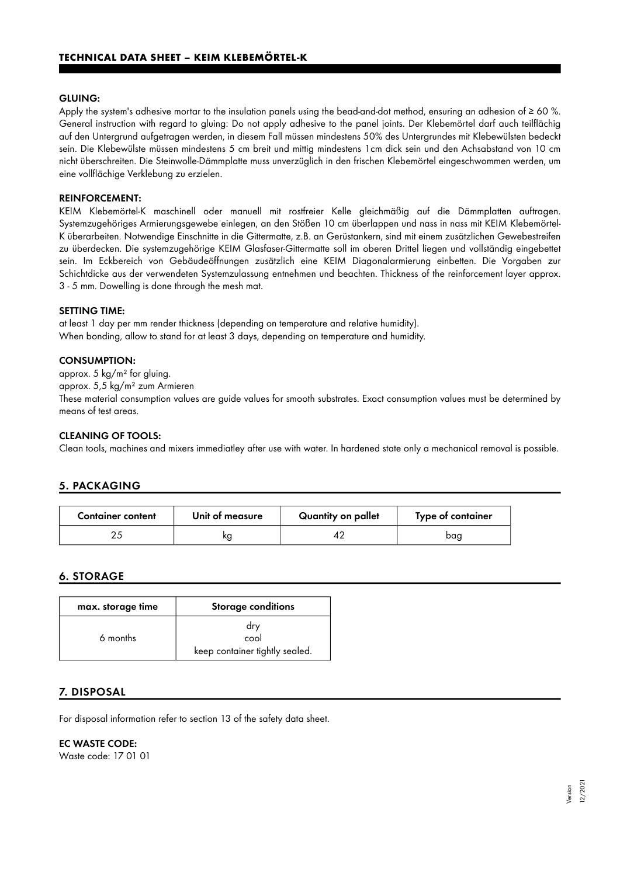#### GLUING:

Apply the system's adhesive mortar to the insulation panels using the bead-and-dot method, ensuring an adhesion of  $\geq 60$  %. General instruction with regard to gluing: Do not apply adhesive to the panel joints. Der Klebemörtel darf auch teilflächig auf den Untergrund aufgetragen werden, in diesem Fall müssen mindestens 50% des Untergrundes mit Klebewülsten bedeckt sein. Die Klebewülste müssen mindestens 5 cm breit und mittig mindestens 1cm dick sein und den Achsabstand von 10 cm nicht überschreiten. Die Steinwolle-Dämmplatte muss unverzüglich in den frischen Klebemörtel eingeschwommen werden, um eine vollflächige Verklebung zu erzielen.

#### REINFORCEMENT:

KEIM Klebemörtel-K maschinell oder manuell mit rostfreier Kelle gleichmäßig auf die Dämmplatten auftragen. Systemzugehöriges Armierungsgewebe einlegen, an den Stößen 10 cm überlappen und nass in nass mit KEIM Klebemörtel-K überarbeiten. Notwendige Einschnitte in die Gittermatte, z.B. an Gerüstankern, sind mit einem zusätzlichen Gewebestreifen zu überdecken. Die systemzugehörige KEIM Glasfaser-Gittermatte soll im oberen Drittel liegen und vollständig eingebettet sein. Im Eckbereich von Gebäudeöffnungen zusätzlich eine KEIM Diagonalarmierung einbetten. Die Vorgaben zur Schichtdicke aus der verwendeten Systemzulassung entnehmen und beachten. Thickness of the reinforcement layer approx. 3 - 5 mm. Dowelling is done through the mesh mat.

#### SETTING TIME:

at least 1 day per mm render thickness (depending on temperature and relative humidity). When bonding, allow to stand for at least 3 days, depending on temperature and humidity.

#### CONSUMPTION:

approx. 5 kg/m² for gluing.

approx. 5,5 kg/m² zum Armieren

These material consumption values are guide values for smooth substrates. Exact consumption values must be determined by means of test areas.

#### CLEANING OF TOOLS:

Clean tools, machines and mixers immediatley after use with water. In hardened state only a mechanical removal is possible.

# 5. PACKAGING

| <b>Container content</b> | Unit of measure | Quantity on pallet | Type of container |
|--------------------------|-----------------|--------------------|-------------------|
|                          | ΚO              |                    | bag               |

# 6. STORAGE

| max. storage time | <b>Storage conditions</b>                     |
|-------------------|-----------------------------------------------|
| 6 months          | dry<br>cool<br>keep container tightly sealed. |

# 7. DISPOSAL

For disposal information refer to section 13 of the safety data sheet.

#### EC WASTE CODE:

Waste code: 17 01 01